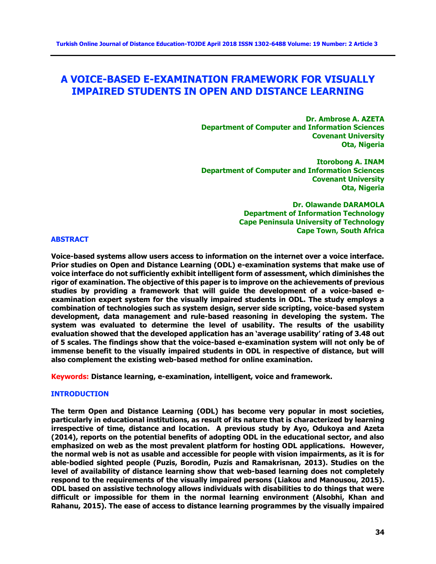# **A VOICE-BASED E-EXAMINATION FRAMEWORK FOR VISUALLY IMPAIRED STUDENTS IN OPEN AND DISTANCE LEARNING**

 **Dr. Ambrose A. AZETA Department of Computer and Information Sciences Covenant University Ota, Nigeria**

**Itorobong A. INAM Department of Computer and Information Sciences Covenant University Ota, Nigeria**

> **Dr. Olawande DARAMOLA Department of Information Technology Cape Peninsula University of Technology Cape Town, South Africa**

#### **ABSTRACT**

**Voice-based systems allow users access to information on the internet over a voice interface. Prior studies on Open and Distance Learning (ODL) e-examination systems that make use of voice interface do not sufficiently exhibit intelligent form of assessment, which diminishes the rigor of examination. The objective of this paper is to improve on the achievements of previous studies by providing a framework that will guide the development of a voice-based eexamination expert system for the visually impaired students in ODL. The study employs a combination of technologies such as system design, server side scripting, voice-based system development, data management and rule-based reasoning in developing the system. The system was evaluated to determine the level of usability. The results of the usability evaluation showed that the developed application has an 'average usability' rating of 3.48 out of 5 scales. The findings show that the voice-based e-examination system will not only be of immense benefit to the visually impaired students in ODL in respective of distance, but will also complement the existing web-based method for online examination.**

**Keywords: Distance learning, e-examination, intelligent, voice and framework.**

#### **INTRODUCTION**

**The term Open and Distance Learning (ODL) has become very popular in most societies, particularly in educational institutions, as result of its nature that is characterized by learning irrespective of time, distance and location. A previous study by Ayo, Odukoya and Azeta (2014), reports on the potential benefits of adopting ODL in the educational sector, and also emphasized on web as the most prevalent platform for hosting ODL applications. However, the normal web is not as usable and accessible for people with vision impairments, as it is for able-bodied sighted people (Puzis, Borodin, Puzis and Ramakrisnan, 2013). Studies on the level of availability of distance learning show that web-based learning does not completely respond to the requirements of the visually impaired persons (Liakou and Manousou, 2015). ODL based on assistive technology allows individuals with disabilities to do things that were difficult or impossible for them in the normal learning environment (Alsobhi, Khan and Rahanu, 2015). The ease of access to distance learning programmes by the visually impaired**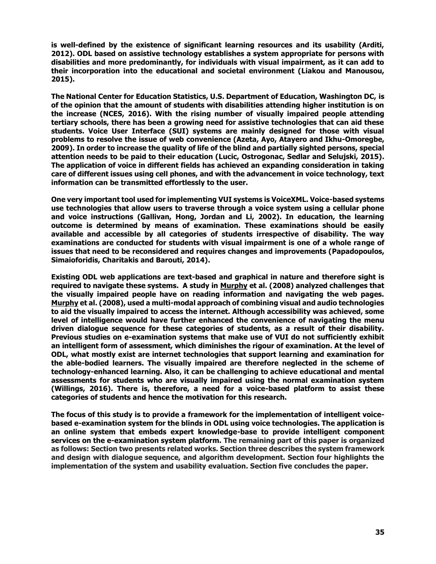**is well-defined by the existence of significant learning resources and its usability (Arditi, 2012). ODL based on assistive technology establishes a system appropriate for persons with disabilities and more predominantly, for individuals with visual impairment, as it can add to their incorporation into the educational and societal environment (Liakou and Manousou, 2015).**

**The National Center for Education Statistics, U.S. Department of Education, Washington DC, is of the opinion that the amount of students with disabilities attending higher institution is on the increase (NCES, 2016). With the rising number of visually impaired people attending tertiary schools, there has been a growing need for assistive technologies that can aid these students. Voice User Interface (SUI) systems are mainly designed for those with visual problems to resolve the issue of web convenience (Azeta, Ayo, Atayero and Ikhu-Omoregbe, 2009). In order to increase the quality of life of the blind and partially sighted persons, special attention needs to be paid to their education (Lucic, Ostrogonac, Sedlar and Selujski, 2015). The application of voice in different fields has achieved an expanding consideration in taking care of different issues using cell phones, and with the advancement in voice technology, text information can be transmitted effortlessly to the user.**

**One very important tool used for implementing VUI systems is VoiceXML. Voice-based systems use technologies that allow users to traverse through a voice system using a cellular phone and voice instructions (Gallivan, Hong, Jordan and Li, 2002). In education, the learning outcome is determined by means of examination. These examinations should be easily available and accessible by all categories of students irrespective of disability. The way examinations are conducted for students with visual impairment is one of a whole range of issues that need to be reconsidered and requires changes and improvements (Papadopoulos, Simaioforidis, Charitakis and Barouti, 2014).**

**Existing ODL web applications are text-based and graphical in nature and therefore sight is required to navigate these systems. A study in [Murphy](http://dblp2.uni-trier.de/pers/hc/m/Murphy:Emma) et al. (2008) analyzed challenges that the visually impaired people have on reading information and navigating the web pages. [Murphy](http://dblp2.uni-trier.de/pers/hc/m/Murphy:Emma) et al. (2008), used a multi-modal approach of combining visual and audio technologies to aid the visually impaired to access the internet. Although accessibility was achieved, some level of intelligence would have further enhanced the convenience of navigating the menu driven dialogue sequence for these categories of students, as a result of their disability. Previous studies on e-examination systems that make use of VUI do not sufficiently exhibit an intelligent form of assessment, which diminishes the rigour of examination. At the level of ODL, what mostly exist are internet technologies that support learning and examination for the able-bodied learners. The visually impaired are therefore neglected in the scheme of technology-enhanced learning. Also, it can be challenging to achieve educational and mental assessments for students who are visually impaired using the normal examination system (Willings, 2016). There is, therefore, a need for a voice-based platform to assist these categories of students and hence the motivation for this research.** 

**The focus of this study is to provide a framework for the implementation of intelligent voicebased e-examination system for the blinds in ODL using voice technologies. The application is an online system that embeds expert knowledge-base to provide intelligent component services on the e-examination system platform. The remaining part of this paper is organized as follows: Section two presents related works. Section three describes the system framework and design with dialogue sequence, and algorithm development. Section four highlights the implementation of the system and usability evaluation. Section five concludes the paper.**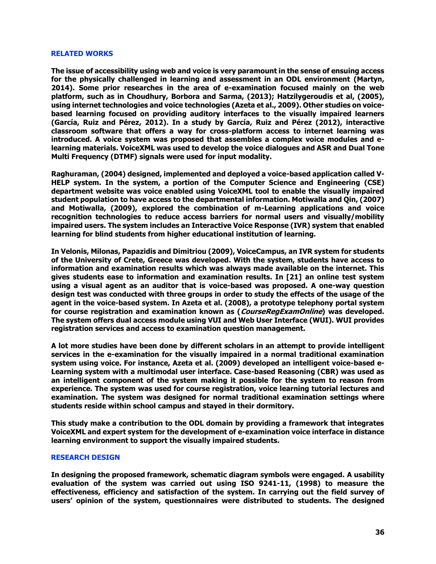#### **RELATED WORKS**

**The issue of accessibility using web and voice is very paramount in the sense of ensuing access for the physically challenged in learning and assessment in an ODL environment (Martyn, 2014). Some prior researches in the area of e-examination focused mainly on the web platform, such as in Choudhury, Borbora and Sarma, (2013); Hatzilygeroudis et al, (2005), using internet technologies and voice technologies (Azeta et al., 2009). Other studies on voicebased learning focused on providing auditory interfaces to the visually impaired learners (García, Ruiz and Pérez, 2012). In a study by García, Ruiz and Pérez (2012), interactive classroom software that offers a way for cross-platform access to internet learning was introduced. A voice system was proposed that assembles a complex voice modules and elearning materials. VoiceXML was used to develop the voice dialogues and ASR and Dual Tone Multi Frequency (DTMF) signals were used for input modality.** 

**Raghuraman, (2004) designed, implemented and deployed a voice-based application called V-HELP system. In the system, a portion of the Computer Science and Engineering (CSE) department website was voice enabled using VoiceXML tool to enable the visually impaired student population to have access to the departmental information. Motiwalla and Qin, (2007) and Motiwalla, (2009), explored the combination of m-Learning applications and voice recognition technologies to reduce access barriers for normal users and visually/mobility impaired users. The system includes an Interactive Voice Response (IVR) system that enabled learning for blind students from higher educational institution of learning.** 

**In Velonis, Milonas, Papazidis and Dimitriou (2009), VoiceCampus, an IVR system for students of the University of Crete, Greece was developed. With the system, students have access to information and examination results which was always made available on the internet. This gives students ease to information and examination results. In [21] an online test system using a visual agent as an auditor that is voice-based was proposed. A one-way question design test was conducted with three groups in order to study the effects of the usage of the agent in the voice-based system. In Azeta et al. (2008), a prototype telephony portal system for course registration and examination known as (CourseRegExamOnline) was developed. The system offers dual access module using VUI and Web User Interface (WUI). WUI provides registration services and access to examination question management.** 

**A lot more studies have been done by different scholars in an attempt to provide intelligent services in the e-examination for the visually impaired in a normal traditional examination system using voice. For instance, Azeta et al. (2009) developed an intelligent voice-based e-Learning system with a multimodal user interface. Case-based Reasoning (CBR) was used as an intelligent component of the system making it possible for the system to reason from experience. The system was used for course registration, voice learning tutorial lectures and examination. The system was designed for normal traditional examination settings where students reside within school campus and stayed in their dormitory.** 

**This study make a contribution to the ODL domain by providing a framework that integrates VoiceXML and expert system for the development of e-examination voice interface in distance learning environment to support the visually impaired students.**

### **RESEARCH DESIGN**

**In designing the proposed framework, schematic diagram symbols were engaged. A usability evaluation of the system was carried out using ISO 9241-11, (1998) to measure the effectiveness, efficiency and satisfaction of the system. In carrying out the field survey of users' opinion of the system, questionnaires were distributed to students. The designed**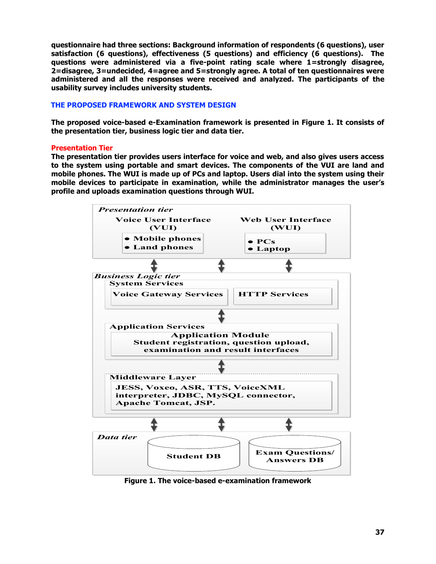**questionnaire had three sections: Background information of respondents (6 questions), user satisfaction (6 questions), effectiveness (5 questions) and efficiency (6 questions). The questions were administered via a five-point rating scale where 1=strongly disagree, 2=disagree, 3=undecided, 4=agree and 5=strongly agree. A total of ten questionnaires were administered and all the responses were received and analyzed. The participants of the usability survey includes university students.**

## **THE PROPOSED FRAMEWORK AND SYSTEM DESIGN**

**The proposed voice-based e-Examination framework is presented in Figure 1. It consists of the presentation tier, business logic tier and data tier.** 

## **Presentation Tier**

**The presentation tier provides users interface for voice and web, and also gives users access to the system using portable and smart devices. The components of the VUI are land and mobile phones. The WUI is made up of PCs and laptop. Users dial into the system using their mobile devices to participate in examination, while the administrator manages the user's profile and uploads examination questions through WUI.**



**Figure 1. The voice-based e-examination framework**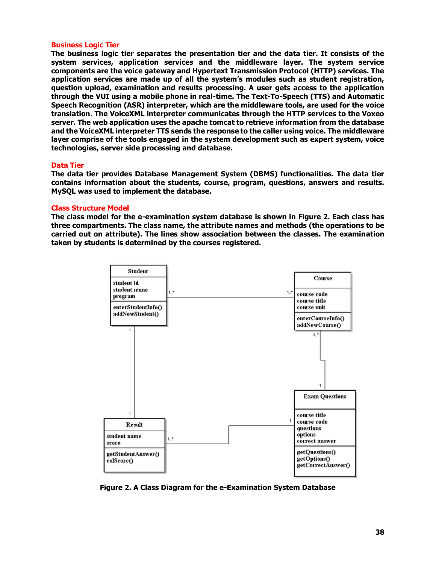### **Business Logic Tier**

**The business logic tier separates the presentation tier and the data tier. It consists of the system services, application services and the middleware layer. The system service components are the voice gateway and Hypertext Transmission Protocol (HTTP) services. The application services are made up of all the system's modules such as student registration, question upload, examination and results processing. A user gets access to the application through the VUI using a mobile phone in real-time. The Text-To-Speech (TTS) and Automatic Speech Recognition (ASR) interpreter, which are the middleware tools, are used for the voice translation. The VoiceXML interpreter communicates through the HTTP services to the Voxeo server. The web application uses the apache tomcat to retrieve information from the database and the VoiceXML interpreter TTS sends the response to the caller using voice. The middleware layer comprise of the tools engaged in the system development such as expert system, voice technologies, server side processing and database.**

## **Data Tier**

**The data tier provides Database Management System (DBMS) functionalities. The data tier contains information about the students, course, program, questions, answers and results. MySQL was used to implement the database.** 

## **Class Structure Model**

**The class model for the e-examination system database is shown in Figure 2. Each class has three compartments. The class name, the attribute names and methods (the operations to be carried out on attribute). The lines show association between the classes. The examination taken by students is determined by the courses registered.**



**Figure 2. A Class Diagram for the e-Examination System Database**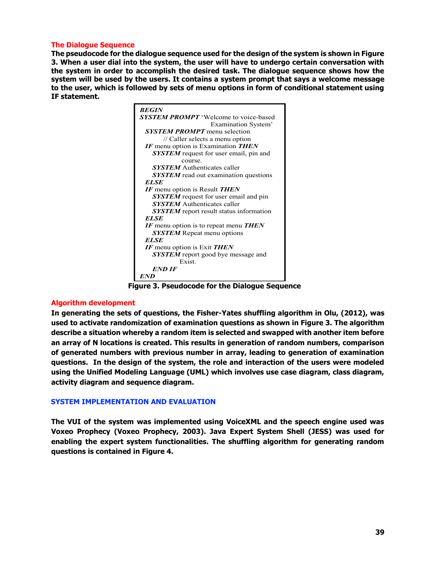### **The Dialogue Sequence**

**The pseudocode for the dialogue sequence used for the design of the system is shown in Figure 3. When a user dial into the system, the user will have to undergo certain conversation with the system in order to accomplish the desired task. The dialogue sequence shows how the system will be used by the users. It contains a system prompt that says a welcome message to the user, which is followed by sets of menu options in form of conditional statement using IF statement.**



**Figure 3. Pseudocode for the Dialogue Sequence**

# **Algorithm development**

**In generating the sets of questions, the Fisher-Yates shuffling algorithm in Olu, (2012), was used to activate randomization of examination questions as shown in Figure 3. The algorithm describe a situation whereby a random item is selected and swapped with another item before an array of N locations is created. This results in generation of random numbers, comparison of generated numbers with previous number in array, leading to generation of examination questions. In the design of the system, the role and interaction of the users were modeled using the Unified Modeling Language (UML) which involves use case diagram, class diagram, activity diagram and sequence diagram.** 

# **SYSTEM IMPLEMENTATION AND EVALUATION**

**The VUI of the system was implemented using VoiceXML and the speech engine used was Voxeo Prophecy (Voxeo Prophecy, 2003). Java Expert System Shell (JESS) was used for enabling the expert system functionalities. The shuffling algorithm for generating random questions is contained in Figure 4.**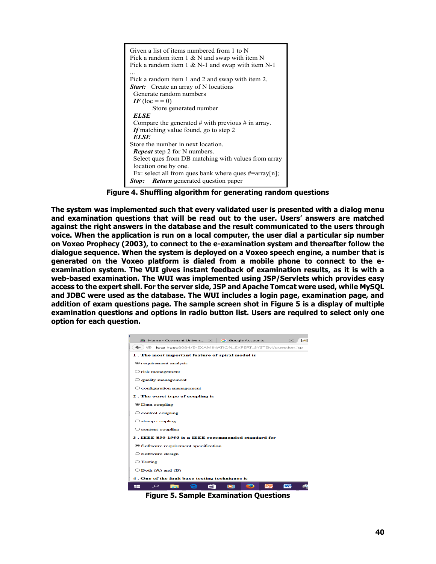

**Figure 4. Shuffling algorithm for generating random questions**

**The system was implemented such that every validated user is presented with a dialog menu and examination questions that will be read out to the user. Users' answers are matched against the right answers in the database and the result communicated to the users through voice. When the application is run on a local computer, the user dial a particular sip number on Voxeo Prophecy (2003), to connect to the e-examination system and thereafter follow the dialogue sequence. When the system is deployed on a Voxeo speech engine, a number that is generated on the Voxeo platform is dialed from a mobile phone to connect to the eexamination system. The VUI gives instant feedback of examination results, as it is with a web-based examination. The WUI was implemented using JSP/Servlets which provides easy access to the expert shell. For the server side, JSP and Apache Tomcat were used, while MySQL and JDBC were used as the database. The WUI includes a login page, examination page, and addition of exam questions page. The sample screen shot in Figure 5 is a display of multiple examination questions and options in radio button list. Users are required to select only one option for each question.**



**Figure 5. Sample Examination Questions**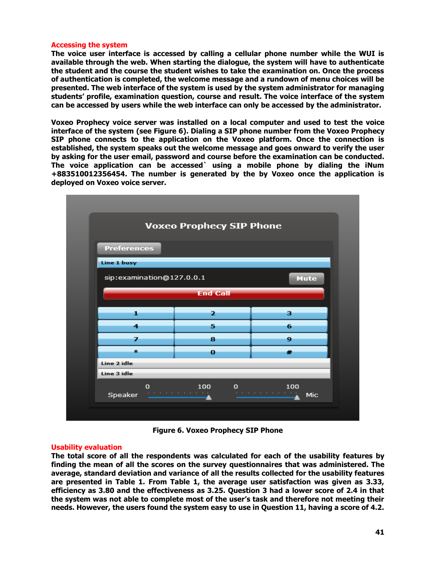### **Accessing the system**

**The voice user interface is accessed by calling a cellular phone number while the WUI is available through the web. When starting the dialogue, the system will have to authenticate the student and the course the student wishes to take the examination on. Once the process of authentication is completed, the welcome message and a rundown of menu choices will be presented. The web interface of the system is used by the system administrator for managing students' profile, examination question, course and result. The voice interface of the system can be accessed by users while the web interface can only be accessed by the administrator.**

**Voxeo Prophecy voice server was installed on a local computer and used to test the voice interface of the system (see Figure 6). Dialing a SIP phone number from the Voxeo Prophecy SIP phone connects to the application on the Voxeo platform. Once the connection is established, the system speaks out the welcome message and goes onward to verify the user by asking for the user email, password and course before the examination can be conducted. The voice application can be accessed` using a mobile phone by dialing the iNum +883510012356454. The number is generated by the by Voxeo once the application is deployed on Voxeo voice server.**



**Figure 6. Voxeo Prophecy SIP Phone**

#### **Usability evaluation**

**The total score of all the respondents was calculated for each of the usability features by finding the mean of all the scores on the survey questionnaires that was administered. The average, standard deviation and variance of all the results collected for the usability features are presented in Table 1. From Table 1, the average user satisfaction was given as 3.33, efficiency as 3.80 and the effectiveness as 3.25. Question 3 had a lower score of 2.4 in that the system was not able to complete most of the user's task and therefore not meeting their needs. However, the users found the system easy to use in Question 11, having a score of 4.2.**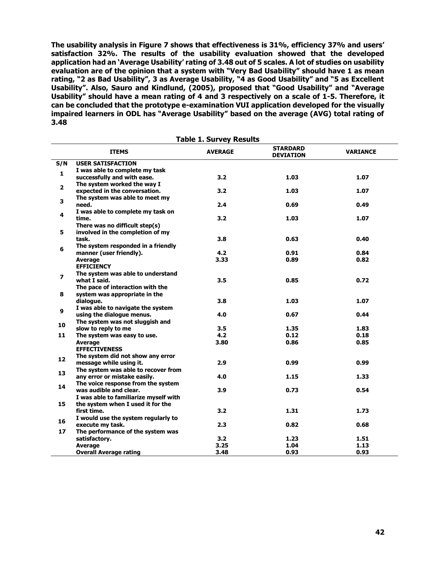**The usability analysis in Figure 7 shows that effectiveness is 31%, efficiency 37% and users' satisfaction 32%. The results of the usability evaluation showed that the developed application had an 'Average Usability' rating of 3.48 out of 5 scales. A lot of studies on usability evaluation are of the opinion that a system with "Very Bad Usability" should have 1 as mean rating, "2 as Bad Usability", 3 as Average Usability, "4 as Good Usability" and "5 as Excellent Usability". Also, Sauro and Kindlund, (2005), proposed that "Good Usability" and "Average Usability" should have a mean rating of 4 and 3 respectively on a scale of 1-5. Therefore, it can be concluded that the prototype e-examination VUI application developed for the visually impaired learners in ODL has "Average Usability" based on the average (AVG) total rating of 3.48**

| <b>Table 1. Survey Results</b> |                                       |                |                                     |                 |
|--------------------------------|---------------------------------------|----------------|-------------------------------------|-----------------|
|                                | <b>ITEMS</b>                          | <b>AVERAGE</b> | <b>STARDARD</b><br><b>DEVIATION</b> | <b>VARIANCE</b> |
| S/N                            | <b>USER SATISFACTION</b>              |                |                                     |                 |
| $\mathbf{1}$                   | I was able to complete my task        |                |                                     |                 |
|                                | successfully and with ease.           | 3.2            | 1.03                                | 1.07            |
| $\overline{2}$                 | The system worked the way I           |                |                                     |                 |
|                                | expected in the conversation.         | 3.2            | 1.03                                | 1.07            |
| 3                              | The system was able to meet my        |                |                                     |                 |
|                                | need.                                 | 2.4            | 0.69                                | 0.49            |
| 4                              | I was able to complete my task on     |                |                                     |                 |
|                                | time.                                 | 3.2            | 1.03                                | 1.07            |
|                                | There was no difficult step(s)        |                |                                     |                 |
| 5                              | involved in the completion of my      |                |                                     |                 |
|                                | task.                                 | 3.8            | 0.63                                | 0.40            |
| 6                              | The system responded in a friendly    |                |                                     |                 |
|                                | manner (user friendly).               | 4.2            | 0.91                                | 0.84            |
|                                | Average                               | 3.33           | 0.89                                | 0.82            |
|                                | <b>EFFICIENCY</b>                     |                |                                     |                 |
| $\overline{\mathbf{z}}$        | The system was able to understand     |                |                                     |                 |
|                                | what I said.                          | 3.5            | 0.85                                | 0.72            |
|                                | The pace of interaction with the      |                |                                     |                 |
| 8                              | system was appropriate in the         |                |                                     |                 |
|                                | dialogue.                             | 3.8            | 1.03                                | 1.07            |
| 9                              | I was able to navigate the system     |                |                                     |                 |
|                                | using the dialogue menus.             | 4.0            | 0.67                                | 0.44            |
| 10                             | The system was not sluggish and       |                |                                     |                 |
|                                | slow to reply to me                   | 3.5            | 1.35                                | 1.83            |
| 11                             | The system was easy to use.           | 4.2            | 0.12                                | 0.18            |
|                                | Average                               | 3.80           | 0.86                                | 0.85            |
|                                | <b>EFFECTIVENESS</b>                  |                |                                     |                 |
| 12                             | The system did not show any error     |                |                                     |                 |
|                                | message while using it.               | 2.9            | 0.99                                | 0.99            |
| 13                             | The system was able to recover from   |                |                                     |                 |
|                                | any error or mistake easily.          | 4.0            | 1.15                                | 1.33            |
| 14                             | The voice response from the system    |                |                                     |                 |
|                                | was audible and clear.                | 3.9            | 0.73                                | 0.54            |
|                                | I was able to familiarize myself with |                |                                     |                 |
| 15                             | the system when I used it for the     |                |                                     |                 |
|                                | first time.                           | 3.2            | 1.31                                | 1.73            |
| 16                             | I would use the system regularly to   |                |                                     |                 |
|                                | execute my task.                      | 2.3            | 0.82                                | 0.68            |
| 17                             | The performance of the system was     |                |                                     |                 |
|                                | satisfactory.                         | 3.2            | 1.23                                | 1.51            |
|                                | <b>Average</b>                        | 3.25           | 1.04                                | 1.13            |
|                                | <b>Overall Average rating</b>         | 3.48           | 0.93                                | 0.93            |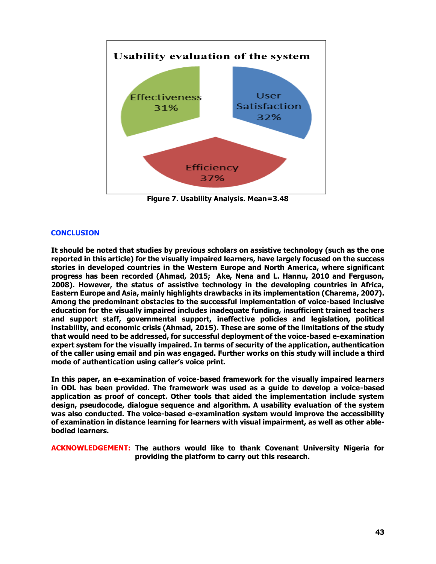

**Figure 7. Usability Analysis. Mean=3.48**

# **CONCLUSION**

**It should be noted that studies by previous scholars on assistive technology (such as the one reported in this article) for the visually impaired learners, have largely focused on the success stories in developed countries in the Western Europe and North America, where significant progress has been recorded (Ahmad, 2015; Ake, Nena and L. Hannu, 2010 and Ferguson, 2008). However, the status of assistive technology in the developing countries in Africa, Eastern Europe and Asia, mainly highlights drawbacks in its implementation (Charema, 2007). Among the predominant obstacles to the successful implementation of voice-based inclusive education for the visually impaired includes inadequate funding, insufficient trained teachers and support staff, governmental support, ineffective policies and legislation, political instability, and economic crisis (Ahmad, 2015). These are some of the limitations of the study that would need to be addressed, for successful deployment of the voice-based e-examination expert system for the visually impaired. In terms of security of the application, authentication of the caller using email and pin was engaged. Further works on this study will include a third mode of authentication using caller's voice print.**

**In this paper, an e-examination of voice-based framework for the visually impaired learners in ODL has been provided. The framework was used as a guide to develop a voice-based application as proof of concept. Other tools that aided the implementation include system design, pseudocode, dialogue sequence and algorithm. A usability evaluation of the system was also conducted. The voice-based e-examination system would improve the accessibility of examination in distance learning for learners with visual impairment, as well as other ablebodied learners.** 

**ACKNOWLEDGEMENT: The authors would like to thank Covenant University Nigeria for providing the platform to carry out this research.**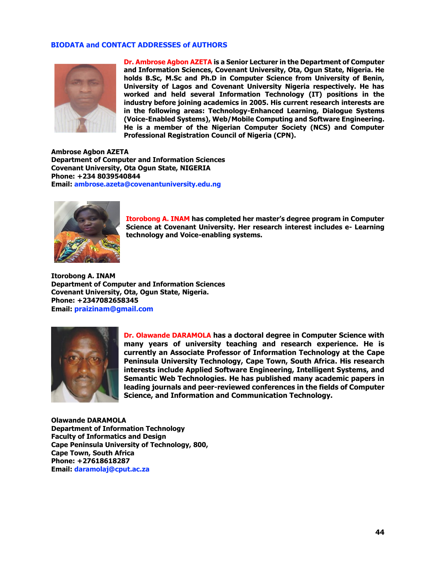## **BIODATA and CONTACT ADDRESSES of AUTHORS**



**Dr. Ambrose Agbon AZETA is a Senior Lecturer in the Department of Computer and Information Sciences, Covenant University, Ota, Ogun State, Nigeria. He holds B.Sc, M.Sc and Ph.D in Computer Science from University of Benin, University of Lagos and Covenant University Nigeria respectively. He has worked and held several Information Technology (IT) positions in the industry before joining academics in 2005. His current research interests are in the following areas: Technology-Enhanced Learning, Dialogue Systems (Voice-Enabled Systems), Web/Mobile Computing and Software Engineering. He is a member of the Nigerian Computer Society (NCS) and Computer Professional Registration Council of Nigeria (CPN).** 

**Ambrose Agbon AZETA Department of Computer and Information Sciences Covenant University, Ota Ogun State, NIGERIA Phone: +234 8039540844 Email: [ambrose.azeta@covenantuniversity.edu.ng](mailto:ambrose.azeta@covenantuniversity.edu.ng)**



**Itorobong A. INAM has completed her master's degree program in Computer Science at Covenant University. Her research interest includes e- Learning technology and Voice-enabling systems.**

**Itorobong A. INAM Department of Computer and Information Sciences Covenant University, Ota, Ogun State, Nigeria. Phone: +2347082658345 Email: [praizinam@gmail.com](mailto:praizinam@gmail.com)**



**Dr. Olawande DARAMOLA has a doctoral degree in Computer Science with many years of university teaching and research experience. He is currently an Associate Professor of Information Technology at the Cape Peninsula University Technology, Cape Town, South Africa. His research interests include Applied Software Engineering, Intelligent Systems, and Semantic Web Technologies. He has published many academic papers in leading journals and peer-reviewed conferences in the fields of Computer Science, and Information and Communication Technology.**

**Olawande DARAMOLA Department of Information Technology Faculty of Informatics and Design Cape Peninsula University of Technology, 800, Cape Town, South Africa Phone: +27618618287 Email: daramolaj@cput.ac.za**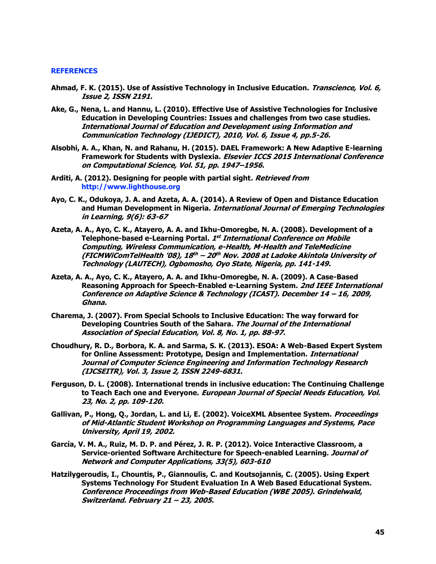#### **REFERENCES**

- **Ahmad, F. K. (2015). Use of Assistive Technology in Inclusive Education. Transcience, Vol. 6, Issue 2, ISSN 2191.**
- **Ake, G., Nena, L. and Hannu, L. (2010). Effective Use of Assistive Technologies for Inclusive Education in Developing Countries: Issues and challenges from two case studies. International Journal of Education and Development using Information and Communication Technology (IJEDICT), 2010, Vol. 6, Issue 4, pp.5-26.**
- **Alsobhi, A. A., Khan, N. and Rahanu, H. (2015). DAEL Framework: A New Adaptive E-learning Framework for Students with Dyslexia. Elsevier ICCS 2015 International Conference on Computational Science, Vol. 51, pp. 1947–1956.**
- **Arditi, A. (2012). Designing for people with partial sight. Retrieved from [http://www.lighthouse.org](http://www.lighthouse.org/)**
- **Ayo, C. K., Odukoya, J. A. and Azeta, A. A. (2014). A Review of Open and Distance Education and Human Development in Nigeria. International Journal of Emerging Technologies in Learning, 9(6): 63-67**
- **Azeta, A. A., Ayo, C. K., Atayero, A. A. and Ikhu-Omoregbe, N. A. (2008). Development of a Telephone-based e-Learning Portal. 1 st International Conference on Mobile Computing, Wireless Communication, e-Health, M-Health and TeleMedicine (FICMWiComTelHealth '08), 18 th – 20 th Nov. 2008 at Ladoke Akintola University of Technology (LAUTECH), Ogbomosho, Oyo State, Nigeria, pp. 141-149.**
- **Azeta, A. A., Ayo, C. K., Atayero, A. A. and Ikhu-Omoregbe, N. A. (2009). A Case-Based Reasoning Approach for Speech-Enabled e-Learning System. 2nd IEEE International Conference on Adaptive Science & Technology (ICAST). December 14 – 16, 2009, Ghana.**
- **Charema, J. (2007). From Special Schools to Inclusive Education: The way forward for Developing Countries South of the Sahara. The Journal of the International Association of Special Education, Vol. 8, No. 1, pp. 88-97.**
- **Choudhury, R. D., Borbora, K. A. and Sarma, S. K. (2013). ESOA: A Web-Based Expert System for Online Assessment: Prototype, Design and Implementation. International Journal of Computer Science Engineering and Information Technology Research (IJCSEITR), Vol. 3, Issue 2, ISSN 2249-6831.**
- **Ferguson, D. L. (2008). International trends in inclusive education: The Continuing Challenge to Teach Each one and Everyone. European Journal of Special Needs Education, Vol. 23, No. 2, pp. 109-120.**
- **Gallivan, P., Hong, Q., Jordan, L. and Li, E. (2002). VoiceXML Absentee System. Proceedings of Mid-Atlantic Student Workshop on Programming Languages and Systems, Pace University, April 19, 2002.**
- **García, V. M. A., Ruiz, M. D. P. and Pérez, J. R. P. (2012). Voice Interactive Classroom, a Service-oriented Software Architecture for Speech-enabled Learning. Journal of Network and Computer Applications, 33(5), 603-610**
- **Hatzilygeroudis, I., Chountis, P., Giannoulis, C. and Koutsojannis, C. (2005). Using Expert Systems Technology For Student Evaluation In A Web Based Educational System. Conference Proceedings from Web-Based Education (WBE 2005). Grindelwald, Switzerland. February 21 – 23, 2005.**